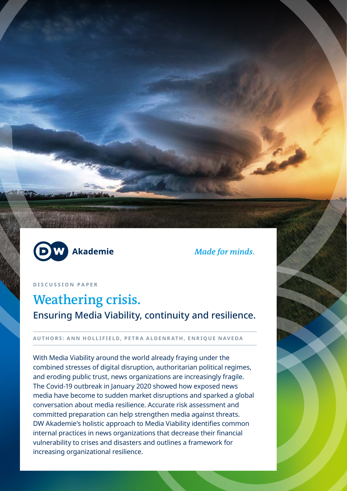

**Made for minds.** 

**DISCUSSION PAPER**

# **Weathering crisis.**  Ensuring Media Viability, continuity and resilience.

## **AUTHORS: ANN HOLLIFIELD, PETRA ALDENRATH, ENRIQUE NAVEDA**

With Media Viability around the world already fraying under the combined stresses of digital disruption, authoritarian political regimes, and eroding public trust, news organizations are increasingly fragile. The Covid-19 outbreak in January 2020 showed how exposed news media have become to sudden market disruptions and sparked a global conversation about media resilience. Accurate risk assessment and committed preparation can help strengthen media against threats. DW Akademie's holistic approach to Media Viability identifies common internal practices in news organizations that decrease their financial vulnerability to crises and disasters and outlines a framework for increasing organizational resilience.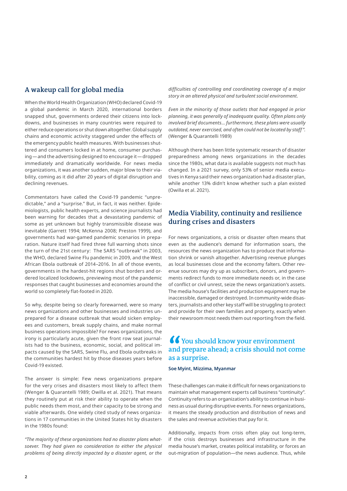# **A wakeup call for global media**

When the World Health Organization (WHO) declared Covid-19 a global pandemic in March 2020, international borders snapped shut, governments ordered their citizens into lockdowns, and businesses in many countries were required to either reduce operations or shut down altogether. Global supply chains and economic activity staggered under the effects of the emergency public health measures. With businesses shuttered and consumers locked in at home, consumer purchasing―and the advertising designed to encourage it―dropped immediately and dramatically worldwide. For news media organizations, it was another sudden, major blow to their viability, coming as it did after 20 years of digital disruption and declining revenues.

Commentators have called the Covid-19 pandemic "unpredictable," and a "surprise." But, in fact, it was neither. Epidemiologists, public health experts, and science journalists had been warning for decades that a devastating pandemic of some as yet unknown but highly transmissible disease was inevitable (Garrett 1994; McKenna 2008; Preston 1999), and governments had war-gamed pandemic scenarios in preparation. Nature itself had fired three full warning shots since the turn of the 21st century: The SARS "outbreak" in 2003, the WHO, declared Swine Flu pandemic in 2009, and the West African Ebola outbreak of 2014–2016. In all of those events, governments in the hardest-hit regions shut borders and ordered localized lockdowns, previewing most of the pandemic responses that caught businesses and economies around the world so completely flat-footed in 2020.

So why, despite being so clearly forewarned, were so many news organizations and other businesses and industries unprepared for a disease outbreak that would sicken employees and customers, break supply chains, and make normal business operations impossible? For news organizations, the irony is particularly acute, given the front row seat journalists had to the business, economic, social, and political impacts caused by the SARS, Swine Flu, and Ebola outbreaks in the communities hardest hit by those diseases years before Covid-19 existed.

The answer is simple: Few news organizations prepare for the very crises and disasters most likely to affect them (Wenger & Quarantelli 1989; Owilla et al. 2021). That means they routinely put at risk their ability to operate when the public needs them most, and their capacity to be strong and viable afterwards. One widely cited study of news organizations in 17 communities in the United States hit by disasters in the 1980s found:

*"The majority of these organizations had no disaster plans whatsoever. They had given no consideration to either the physical problems of being directly impacted by a disaster agent, or the* 

*difficulties of controlling and coordinating coverage of a major story in an altered physical and turbulent social environment.*

*Even in the minority of those outlets that had engaged in prior planning, it was generally of inadequate quality. Often plans only involved brief documents… furthermore, these plans were usually outdated, never exercised, and often could not be located by staff ".* (Wenger & Quarantelli 1989)

Although there has been little systematic research of disaster preparedness among news organizations in the decades since the 1980s, what data is available suggests not much has changed. In a 2021 survey, only 53% of senior media executives in Kenya said their news organization had a disaster plan, while another 13% didn't know whether such a plan existed (Owilla et al. 2021).

## **Media Viability, continuity and resilience during crises and disasters**

For news organizations, a crisis or disaster often means that even as the audience's demand for information soars, the resources the news organization has to produce that information shrink or vanish altogether. Advertising revenue plunges as local businesses close and the economy falters. Other revenue sources may dry up as subscribers, donors, and governments redirect funds to more immediate needs or, in the case of conflict or civil unrest, seize the news organization's assets. The media house's facilities and production equipment may be inaccessible, damaged or destroyed. In community-wide disasters, journalists and other key staff will be struggling to protect and provide for their own families and property, exactly when their newsroom most needs them out reporting from the field.

# **You should know your environment and prepare ahead; a crisis should not come as a surprise.**

**Soe Myint, Mizzima, Myanmar**

These challenges can make it difficult for news organizations to maintain what management experts call business "continuity". Continuity refers to an organization's ability to continue in business as usual during disruptive events. For news organizations, it means the steady production and distribution of news and the sales and revenue activities that pay for it.

Additionally, impacts from crisis often play out long-term, if the crisis destroys businesses and infrastructure in the media house's market, creates political instability, or forces an out-migration of population―the news audience. Thus, while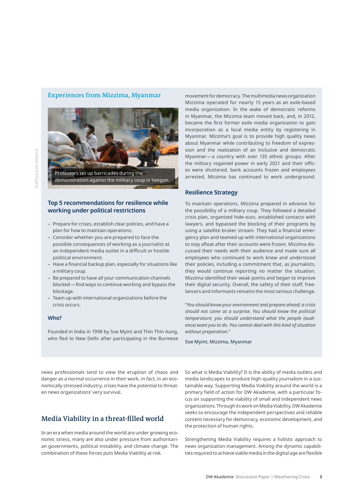#### **Experiences from Mizzima, Myanmar**



demonstration against the military coup in Yangon.

## **Top 5 recommendations for resilience while working under political restrictions**

- Prepare for crises, establish clear policies, and have a plan for how to maintain operations.
- Consider whether you are prepared to face the possible consequences of working as a journalist at an independent media outlet in a difficult or hostile political environment.
- Have a financial backup plan, especially for situations like a military coup.
- Be prepared to have all your communication channels blocked—find ways to continue working and bypass the blockage.
- Team up with international organizations before the crisis occurs.

#### **Who?**

Founded in India in 1998 by Soe Myint and Thin Thin Aung, who fled to New Delhi after participating in the Burmese movement for democracy. The multimedia news organization Mizzima operated for nearly 15 years as an exile-based media organization. In the wake of democratic reforms in Myanmar, the Mizzima team moved back, and, in 2012, became the first former exile media organization to gain incorporation as a local media entity by registering in Myanmar. Mizzima's goal is to provide high quality news about Myanmar while contributing to freedom of expression and the realization of an inclusive and democratic Myanmar—a country with over 135 ethnic groups. After the military regained power in early 2021 and their offices were shuttered, bank accounts frozen and employees arrested, Mizzima has continued to work underground.

#### **Resilience Strategy**

To maintain operations, Mizzima prepared in advance for the possibility of a military coup. They followed a detailed crisis plan, organized hide-outs, established contacts with lawyers, and bypassed the blocking of their programs by using a satellite broker stream. They had a financial emergency plan and teamed up with international organizations to stay afloat after their accounts were frozen. Mizzima discussed their needs with their audience and made sure all employees who continued to work knew and understood their policies, including a commitment that, as journalists, they would continue reporting no matter the situation. Mizzima identified their weak points and began to improve their digital security. Overall, the safety of their staff, freelancers and informants remains the most serious challenge.

"*You should know your environment and prepare ahead; a crisis should not come as a surprise. You should know the political temperature; you should understand what the people (audience) want you to do. You cannot deal with this kind of situation without preparation.*"

Soe Myint, Mizzima, Myanmar

news professionals tend to view the eruption of chaos and danger as a normal occurrence in their work, in fact, in an economically stressed industry, crises have the potential to threaten news organizations' very survival.

## **Media Viability in a threat-filled world**

In an era when media around the world are under growing economic stress, many are also under pressure from authoritarian governments, political instability, and climate change. The combination of these forces puts Media Viability at risk.

So what is Media Viability? It is the ability of media outlets and media landscapes to produce high-quality journalism in a sustainable way. Supporting Media Viability around the world is a primary field of action for DW Akademie, with a particular focus on supporting the viability of small and independent news organizations. Through its work on Media Viability, DW Akademie seeks to encourage the independent perspectives and reliable content necessary for democracy, economic development, and the protection of human rights.

Strengthening Media Viability requires a holistic approach to news organization management. Among the dynamic capabilities required to achieve viable media in the digital age are flexible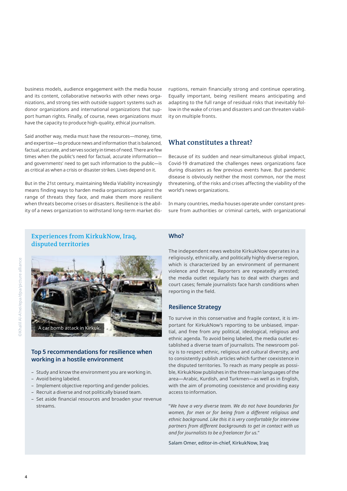business models, audience engagement with the media house and its content, collaborative networks with other news organizations, and strong ties with outside support systems such as donor organizations and international organizations that support human rights. Finally, of course, news organizations must have the capacity to produce high-quality, ethical journalism.

Said another way, media must have the resources—money, time, and expertise—to produce news and information that is balanced, factual, accurate, and serves society in times of need. There are few times when the public's need for factual, accurate information― and governments' need to get such information to the public―is as critical as when a crisis or disaster strikes. Lives depend on it.

But in the 21st century, maintaining Media Viability increasingly means finding ways to harden media organizations against the range of threats they face, and make them more resilient when threats become crises or disasters. Resilience is the ability of a news organization to withstand long-term market dis-

ruptions, remain financially strong and continue operating. Equally important, being resilient means anticipating and adapting to the full range of residual risks that inevitably follow in the wake of crises and disasters and can threaten viability on multiple fronts.

## **What constitutes a threat?**

Because of its sudden and near-simultaneous global impact, Covid-19 dramatized the challenges news organizations face during disasters as few previous events have. But pandemic disease is obviously neither the most common, nor the most threatening, of the risks and crises affecting the viability of the world's news organizations.

In many countries, media houses operate under constant pressure from authorities or criminal cartels, with organizational

## **Experiences from KirkukNow, Iraq, disputed territories**



### **Top 5 recommendations for resilience when working in a hostile environment**

- Study and know the environment you are working in.
- Avoid being labeled.
- Implement objective reporting and gender policies.
- Recruit a diverse and not politically biased team.
- Set aside financial resources and broaden your revenue streams.

#### **Who?**

The independent news website KirkukNow operates in a religiously, ethnically, and politically highly diverse region, which is characterized by an environment of permanent violence and threat. Reporters are repeatedly arrested; the media outlet regularly has to deal with charges and court cases; female journalists face harsh conditions when reporting in the field.

#### **Resilience Strategy**

To survive in this conservative and fragile context, it is important for KirkukNow's reporting to be unbiased, impartial, and free from any political, ideological, religious and ethnic agenda. To avoid being labeled, the media outlet established a diverse team of journalists. The newsroom policy is to respect ethnic, religious and cultural diversity, and to consistently publish articles which further coexistence in the disputed territories. To reach as many people as possible, KirkukNow publishes in the three main languages of the area―Arabic, Kurdish, and Turkmen―as well as in English, with the aim of promoting coexistence and providing easy access to information.

"*We have a very diverse team. We do not have boundaries for women, for men or for being from a different religious and ethnic background. Like this it is very comfortable for interview partners from different backgrounds to get in contact with us and for journalists to be a freelancer for us.*"

Salam Omer, editor-in-chief, KirkukNow, Iraq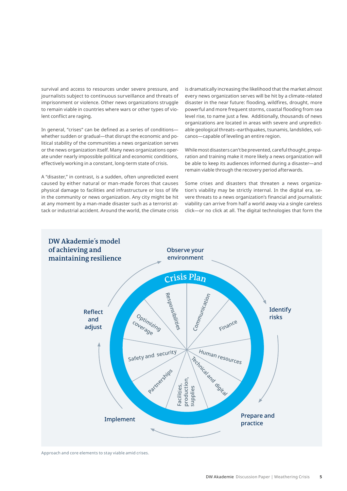survival and access to resources under severe pressure, and journalists subject to continuous surveillance and threats of imprisonment or violence. Other news organizations struggle to remain viable in countries where wars or other types of violent conflict are raging.

In general, "crises" can be defined as a series of conditions― whether sudden or gradual―that disrupt the economic and political stability of the communities a news organization serves or the news organization itself. Many news organizations operate under nearly impossible political and economic conditions, effectively working in a constant, long-term state of crisis.

A "disaster," in contrast, is a sudden, often unpredicted event caused by either natural or man-made forces that causes physical damage to facilities and infrastructure or loss of life in the community or news organization. Any city might be hit at any moment by a man-made disaster such as a terrorist attack or industrial accident. Around the world, the climate crisis

is dramatically increasing the likelihood that the market almost every news organization serves will be hit by a climate-related disaster in the near future: flooding, wildfires, drought, more powerful and more frequent storms, coastal flooding from sea level rise, to name just a few. Additionally, thousands of news organizations are located in areas with severe and unpredictable geological threats–earthquakes, tsunamis, landslides, volcanos―capable of leveling an entire region.

While most disasters can't be prevented, careful thought, preparation and training make it more likely a news organization will be able to keep its audiences informed during a disaster―and remain viable through the recovery period afterwards.

Some crises and disasters that threaten a news organization's viability may be strictly internal. In the digital era, severe threats to a news organization's financial and journalistic viability can arrive from half a world away via a single careless click―or no click at all. The digital technologies that form the



Approach and core elements to stay viable amid crises.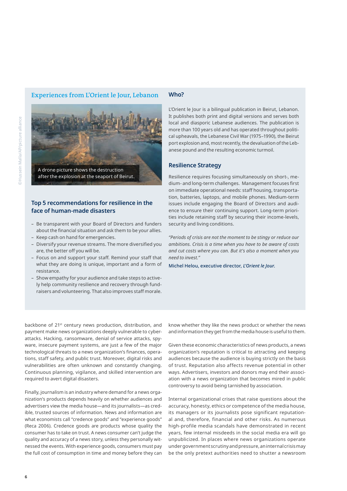## **Experiences from L'Orient le Jour, Lebanon**



## **Top 5 recommendations for resilience in the face of human-made disasters**

- Be transparent with your Board of Directors and funders about the financial situation and ask them to be your allies.
- Keep cash on hand for emergencies.
- Diversify your revenue streams. The more diversified you are, the better off you will be.
- Focus on and support your staff. Remind your staff that what they are doing is unique, important and a form of resistance.
- Show empathy for your audience and take steps to actively help community resilience and recovery through fundraisers and volunteering. That also improves staff morale.

#### **Who?**

L'Orient le Jour is a bilingual publication in Beirut, Lebanon. It publishes both print and digital versions and serves both local and diasporic Lebanese audiences. The publication is more than 100 years old and has operated throughout political upheavals, the Lebanese Civil War (1975–1990), the Beirut port explosion and, most recently, the devaluation of the Lebanese pound and the resulting economic turmoil.

#### **Resilience Strategy**

Resilience requires focusing simultaneously on short-, medium- and long-term challenges. Management focuses first on immediate operational needs: staff housing, transportation, batteries, laptops, and mobile phones. Medium-term issues include engaging the Board of Directors and audience to ensure their continuing support. Long-term priorities include retaining staff by securing their income-levels, security and living conditions.

*"Periods of crisis are not the moment to be stingy or reduce our ambitions. Crisis is a time when you have to be aware of costs and cut costs where you can. But it's also a moment when you need to invest."*

Michel Helou, executive director, *L'Orient le Jour*.

backbone of 21st century news production, distribution, and payment make news organizations deeply vulnerable to cyberattacks. Hacking, ransomware, denial of service attacks, spyware, insecure payment systems, are just a few of the major technological threats to a news organization's finances, operations, staff safety, and public trust. Moreover, digital risks and vulnerabilities are often unknown and constantly changing. Continuous planning, vigilance, and skilled intervention are required to avert digital disasters.

Finally, journalism is an industry where demand for a news organization's products depends heavily on whether audiences and advertisers view the media house―and its journalists―as credible, trusted sources of information. News and information are what economists call "credence goods" and "experience goods" (Reca 2006). Credence goods are products whose quality the consumer has to take on trust. A news consumer can't judge the quality and accuracy of a news story, unless they personally witnessed the events. With experience goods, consumers must pay the full cost of consumption in time and money before they can

know whether they like the news product or whether the news and information they get from the media house is useful to them.

Given these economic characteristics of news products, a news organization's reputation is critical to attracting and keeping audiences because the audience is buying strictly on the basis of trust. Reputation also affects revenue potential in other ways. Advertisers, investors and donors may end their association with a news organization that becomes mired in public controversy to avoid being tarnished by association.

Internal organizational crises that raise questions about the accuracy, honesty, ethics or competence of the media house, its managers or its journalists pose significant reputational and, therefore, financial and other risks. As numerous high-profile media scandals have demonstrated in recent years, few internal misdeeds in the social media era will go unpublicized. In places where news organizations operate under government scrutiny and pressure, an internal crisis may be the only pretext authorities need to shutter a newsroom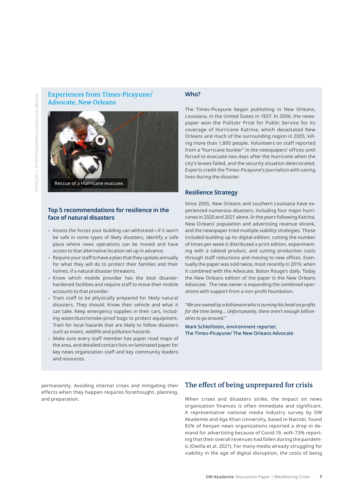**Experiences from Times-Picayune/ Advocate, New Orleans** 



#### **Top 5 recommendations for resilience in the face of natural disasters**

- Assess the forces your building can withstand―if it won't be safe in some types of likely disasters, identify a safe place where news operations can be moved and have access to that alternative location set up in advance.
- Require your staff to have a plan that they update annually for what they will do to protect their families and their homes, if a natural disaster threatens.
- Know which mobile provider has the best disasterhardened facilities and require staff to move their mobile accounts to that provider.
- Train staff to be physically prepared for likely natural disasters. They should: Know their vehicle and what it can take. Keep emergency supplies in their cars, including water/dust/smoke-proof bags to protect equipment. Train for local hazards that are likely to follow disasters such as insect, wildlife and pollution hazards.
- Make sure every staff member has paper road maps of the area, and detailed contact lists on laminated paper for key news organization staff and key community leaders and resources.

#### permanently. Avoiding internal crises and mitigating their effects when they happen requires forethought, planning, and preparation.

## **Who?**

The Times-Picayune began publishing in New Orleans, Louisiana, in the United States in 1837. In 2006, the newspaper won the Pulitzer Prize for Public Service for its coverage of Hurricane Katrina, which devastated New Orleans and much of the surrounding region in 2005, killing more than 1,800 people. Volunteers on staff reported from a "hurricane bunker" in the newspapers' offices until forced to evacuate two days after the hurricane when the city's levees failed, and the security situation deteriorated. Experts credit the Times-Picayune's journalists with saving lives during the disaster.

#### **Resilience Strategy**

Since 2005, New Orleans and southern Louisiana have experienced numerous disasters, including four major hurricanes in 2020 and 2021 alone. In the years following Katrina, New Orleans' population and advertising revenue shrank, and the newspaper tried multiple viability strategies. Those included building up its digital edition, cutting the number of times per week it distributed a print edition, experimenting with a tabloid product, and cutting production costs through staff reductions and moving to new offices. Eventually the paper was sold twice, most recently in 2019, when it combined with the Advocate, Baton Rouge's daily. Today the New Orleans edition of the paper is the New Orleans Advocate. The new owner is expanding the combined operations with support from a non-profit foundation.

*"We are owned by a billionaire who is turning his head on profits for the time being… Unfortunately, there aren't enough billionaires to go around."*

Mark Schleifstein, environment reporter, The Times-Picayune/ The New Orleans Advocate

## **The effect of being unprepared for crisis**

When crises and disasters strike, the impact on news organization finances is often immediate and significant. A representative national media industry survey by DW Akademie and Aga Khan University, based in Nairobi, found 82% of Kenyan news organizations reported a drop in demand for advertising because of Covid-19, with 73% reporting that their overall revenues had fallen during the pandemic (Owilla et al. 2021). For many media already struggling for viability in the age of digital disruption, the costs of being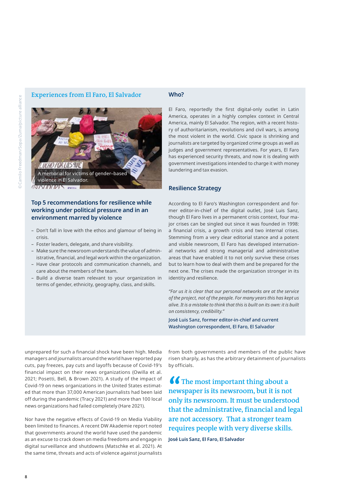### **Experiences from El Faro, El Salvador**



## **Top 5 recommendations for resilience while working under political pressure and in an environment marred by violence**

- Don't fall in love with the ethos and glamour of being in crisis.
- Foster leaders, delegate, and share visibility.
- Make sure the newsroom understands the value of administrative, financial, and legal work within the organization.
- Have clear protocols and communication channels, and care about the members of the team.
- Build a diverse team relevant to your organization in terms of gender, ethnicity, geography, class, and skills.

#### **Who?**

El Faro, reportedly the first digital-only outlet in Latin America, operates in a highly complex context in Central America, mainly El Salvador. The region, with a recent history of authoritarianism, revolutions and civil wars, is among the most violent in the world. Civic space is shrinking and journalists are targeted by organized crime groups as well as judges and government representatives. For years, El Faro has experienced security threats, and now it is dealing with government investigations intended to charge it with money laundering and tax evasion.

#### **Resilience Strategy**

According to El Faro's Washington correspondent and former editor-in-chief of the digital outlet, José Luis Sanz, though El Faro lives in a permanent crisis context, four major crises can be singled out since it was founded in 1998: a financial crisis, a growth crisis and two internal crises. Stemming from a very clear editorial stance and a potent and visible newsroom, El Faro has developed international networks and strong managerial and administrative areas that have enabled it to not only survive these crises but to learn how to deal with them and be prepared for the next one. The crises made the organization stronger in its identity and resilience.

*"For us it is clear that our personal networks are at the service of the project, not of the people. For many years this has kept us alive. It is a mistake to think that this is built on its own: it is built on consistency, credibility."* 

José Luis Sanz, former editor-in-chief and current Washington correspondent, El Faro, El Salvador

unprepared for such a financial shock have been high. Media managers and journalists around the world have reported pay cuts, pay freezes, pay cuts and layoffs because of Covid-19's financial impact on their news organizations (Owilla et al. 2021; Posetti, Bell, & Brown 2021). A study of the impact of Covid-19 on news organizations in the United States estimated that more than 37,000 American journalists had been laid off during the pandemic (Tracy 2021) and more than 100 local news organizations had failed completely (Hare 2021).

Nor have the negative effects of Covid-19 on Media Viability been limited to finances. A recent DW Akademie report noted that governments around the world have used the pandemic as an excuse to crack down on media freedoms and engage in digital surveillance and shutdowns (Matschke et al. 2021). At the same time, threats and acts of violence against journalists

from both governments and members of the public have risen sharply, as has the arbitrary detainment of journalists by officials.

**The most important thing about a newspaper is its newsroom, but it is not only its newsroom. It must be understood that the administrative, financial and legal are not accessory. That a stronger team requires people with very diverse skills.**

**José Luis Sanz, El Faro, El Salvador**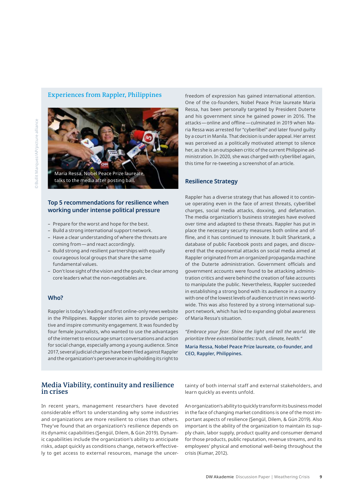### **Experiences from Rappler, Philippines**



## **Top 5 recommendations for resilience when working under intense political pressure**

- Prepare for the worst and hope for the best.
- Build a strong international support network.
- Have a clear understanding of where the threats are coming from―and react accordingly.
- Build strong and resilient partnerships with equally courageous local groups that share the same fundamental values.
- Don't lose sight of the vision and the goals; be clear among core leaders what the non-negotiables are.

#### **Who?**

Rappler is today's leading and first online-only news website in the Philippines. Rappler stories aim to provide perspective and inspire community engagement. It was founded by four female journalists, who wanted to use the advantages of the internet to encourage smart conversations and action for social change, especially among a young audience. Since 2017, several judicial charges have been filed against Rappler and the organization's perseverance in upholding its right to

freedom of expression has gained international attention. One of the co-founders, Nobel Peace Prize laureate Maria Ressa, has been personally targeted by President Duterte and his government since he gained power in 2016. The attacks―online and offline―culminated in 2019 when Maria Ressa was arrested for "cyberlibel" and later found guilty by a court in Manila. That decision is under appeal. Her arrest was perceived as a politically motivated attempt to silence her, as she is an outspoken critic of the current Philippine administration. In 2020, she was charged with cyberlibel again, this time for re-tweeting a screenshot of an article.

#### **Resilience Strategy**

Rappler has a diverse strategy that has allowed it to continue operating even in the face of arrest threats, cyberlibel charges, social media attacks, doxxing, and defamation. The media organization's business strategies have evolved over time and adapted to these threats. Rappler has put in place the necessary security measures both online and offline, and it has continued to innovate. It built Sharktank, a database of public Facebook posts and pages, and discovered that the exponential attacks on social media aimed at Rappler originated from an organized propaganda machine of the Duterte administration. Government officials and government accounts were found to be attacking administration critics and were behind the creation of fake accounts to manipulate the public. Nevertheless, Rappler succeeded in establishing a strong bond with its audience in a country with one of the lowest levels of audience trust in news worldwide. This was also fostered by a strong international support network, which has led to expanding global awareness of Maria Ressa's situation.

*"Embrace your fear. Shine the light and tell the world. We prioritize three existential battles: truth, climate, health."* 

Maria Ressa, Nobel Peace Prize laureate, co-founder, and CEO, Rappler, Philippines.

## **Media Viability, continuity and resilience in crises**

In recent years, management researchers have devoted considerable effort to understanding why some industries and organizations are more resilient to crises than others. They've found that an organization's resilience depends on its dynamic capabilities (Şengül, Dilem, & Gün 2019). Dynamic capabilities include the organization's ability to anticipate risks, adapt quickly as conditions change, network effectively to get access to external resources, manage the uncertainty of both internal staff and external stakeholders, and learn quickly as events unfold.

An organization's ability to quickly transform its business model in the face of changing market conditions is one of the most important aspects of resilience (Şengül, Dilem, & Gün 2019). Also important is the ability of the organization to maintain its supply chain, labor supply, product quality and consumer demand for those products, public reputation, revenue streams, and its employees' physical and emotional well-being throughout the crisis (Kumar, 2012).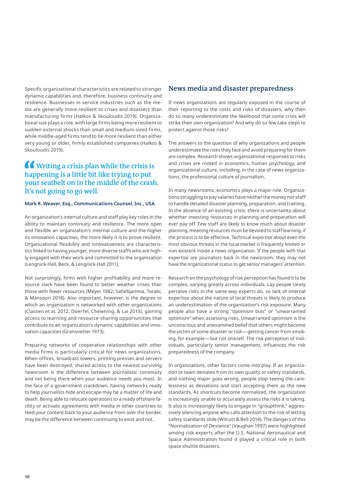Specific organizational characteristics are related to stronger dynamic capabilities and, therefore, business continuity and resilience. Businesses in service industries such as the media are generally more resilient to crises and disasters than manufacturing firms (Halkos & Skouloudis 2019). Organizational size plays a role, with large firms being more resilient to sudden external shocks than small and medium-sized firms, while middle-aged firms tend to be more resilient than either very young or older, firmly established companies (Halkos & Skouloudis 2019).

# **Writing a crisis plan while the crisis is happening is a little bit like trying to put your seatbelt on in the middle of the crash. It's not going to go well.**

## **Mark R. Weaver, Esq., Communications Counsel, Inc., USA**

An organization's internal culture and staff play key roles in the ability to maintain continuity and resilience. The more open and flexible an organization's internal culture and the higher its innovation capacities, the more likely it is to prove resilient. Organizational flexibility and innovativeness are characteristics linked to having younger, more diverse staffs who are highly engaged with their work and committed to the organization (Lengnick-Hall, Beck, & Lengnick-Hall 2011).

Not surprisingly, firms with higher profitability and more resource slack have been found to better weather crises than those with fewer resources (Meyer 1982; Sahebjamnia, Torabi, & Mansouri 2018). Also important, however, is the degree to which an organization is networked with other organizations (Classen et al. 2012; Doerfel, Chewning, & Lai 2013), gaining access to learning and resource-sharing opportunities that contribute to an organization's dynamic capabilities and innovation capacities (Granovetter 1973).

Preparing networks of cooperative relationships with other media firms is particularly critical for news organizations. When offices, broadcast towers, printing presses and servers have been destroyed, shared access to the nearest surviving newsroom is the difference between journalistic continuity and not being there when your audience needs you most. In the face of a government crackdown, having networks ready to help journalists hide and escape may be a matter of life and death. Being able to relocate operations to a ready offshore facility or activate agreements with media in other countries to feed your content back to your audience from over the border, may be the difference between continuing to exist and not.

## **News media and disaster preparedness**

If news organizations are regularly exposed in the course of their reporting to the costs and risks of disasters, why then do so many underestimate the likelihood that some crisis will strike their own organization? And why do so few take steps to protect against those risks?

The answers to the question of why organizations and people underestimate the risks they face and avoid preparing for them are complex. Research shows organizational responses to risks and crises are rooted in economics, human psychology, and organizational culture, including, in the case of news organizations, the professional culture of journalism.

In many newsrooms, economics plays a major role. Organizations struggling to pay salaries have neither the money nor staff to handle detailed disaster planning, preparation, and training. In the absence of an existing crisis, there is uncertainty about whether investing resources in planning and preparation will ever pay off. Few staff are likely to know much about disaster planning, meaning resources must be devoted to staff learning, if the process is to be effective. Technical expertise about even the most obvious threats in the local market is frequently limited or non-existent inside a news organization. If the people with that expertise are journalists back in the newsroom, they may not have the organizational status to get senior managers' attention.

Research on the psychology of risk perception has found it to be complex, varying greatly across individuals. Lay people rarely perceive risks in the same way experts do, so lack of internal expertise about the nature of local threats is likely to produce an underestimation of the organization's risk exposure. Many people also have a strong "optimism bias" or "unwarranted optimism" when assessing risks. Unwarranted optimism is the unconscious and unexamined belief that others might become the victim of some disaster or risk―getting cancer from smoking, for example―but not oneself. The risk perception of individuals, particularly senior management, influences the risk preparedness of the company.

In organizations, other factors come into play. If an organization or team deviates from its own quality or safety standards, and nothing major goes wrong, people stop seeing the carelessness as deviations and start accepting them as the new standards. As shortcuts become normalized, the organization is increasingly unable to accurately assess the risks it is taking. It also is increasingly likely to engage in "groupthink," aggressively silencing anyone who calls attention to the risk of letting safety standards slide (Wilcutt & Bell 2014). The dangers of this "Normalization of Deviance" (Vaughan 1997) were highlighted among risk experts after the U.S. National Aeronautical and Space Administration found it played a critical role in both space shuttle disasters.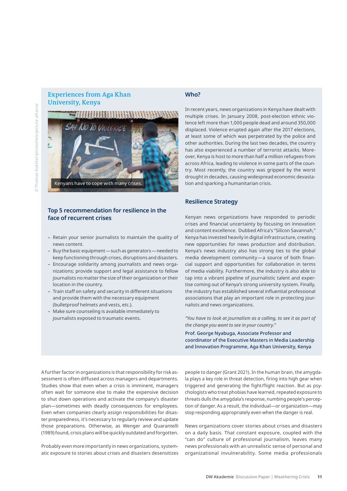## **Experiences from Aga Khan University, Kenya**



#### **Top 5 recommendation for resilience in the face of recurrent crises**

- Retain your senior journalists to maintain the quality of news content.
- Buy the basic equipment—such as generators—needed to keep functioning through crises, disruptions and disasters.
- Encourage solidarity among journalists and news organizations; provide support and legal assistance to fellow journalists no matter the size of their organization or their location in the country.
- Train staff on safety and security in different situations and provide them with the necessary equipment (bulletproof helmets and vests, etc.).
- Make sure counseling is available immediately to journalists exposed to traumatic events.

#### **Who?**

In recent years, news organizations in Kenya have dealt with multiple crises. In January 2008, post-election ethnic violence left more than 1,000 people dead and around 350,000 displaced. Violence erupted again after the 2017 elections, at least some of which was perpetrated by the police and other authorities. During the last two decades, the country has also experienced a number of terrorist attacks. Moreover, Kenya is host to more than half a million refugees from across Africa, leading to violence in some parts of the country. Most recently, the country was gripped by the worst drought in decades, causing widespread economic devastation and sparking a humanitarian crisis.

#### **Resilience Strategy**

Kenyan news organizations have responded to periodic crises and financial uncertainty by focusing on innovation and content excellence. Dubbed Africa's "Silicon Savannah," Kenya has invested heavily in digital infrastructure, creating new opportunities for news production and distribution. Kenya's news industry also has strong ties to the global media development community—a source of both financial support and opportunities for collaboration in terms of media viability. Furthermore, the industry is also able to tap into a vibrant pipeline of journalistic talent and expertise coming out of Kenya's strong university system. Finally, the industry has established several influential professional associations that play an important role in protecting journalists and news organizations.

*"You have to look at journalism as a calling, to see it as part of the change you want to see in your country."* 

Prof. George Nyabuga, Associate Professor and coordinator of the Executive Masters in Media Leadership and Innovation Programme, Aga Khan University, Kenya

A further factor in organizations is that responsibility for risk assessment is often diffused across managers and departments. Studies show that even when a crisis is imminent, managers often wait for someone else to make the expensive decision to shut down operations and activate the company's disaster plan―sometimes with deadly consequences for employees. Even when companies clearly assign responsibilities for disaster preparedness, it's necessary to regularly review and update those preparations. Otherwise, as Wenger and Quarantelli (1989) found, crisis plans will be quickly outdated and forgotten.

Probably even more importantly in news organizations, systematic exposure to stories about crises and disasters desensitizes people to danger (Grant 2021). In the human brain, the amygdala plays a key role in threat detection, firing into high gear when triggered and generating the fight/flight reaction. But as psychologists who treat phobias have learned, repeated exposure to threats dulls the amygdala's response, numbing people's perception of danger. As a result, the individual―or organization―may stop responding appropriately even when the danger is real.

News organizations cover stories about crises and disasters on a daily basis. That constant exposure, coupled with the "can do" culture of professional journalism, leaves many news professionals with an unrealistic sense of personal and organizational invulnerability. Some media professionals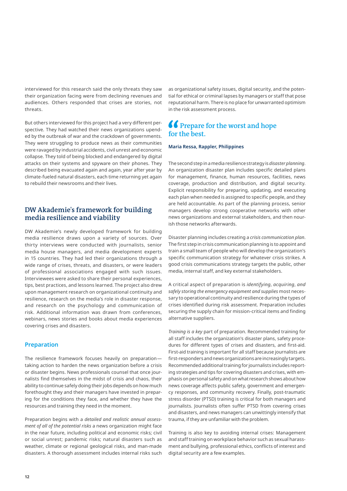interviewed for this research said the only threats they saw their organization facing were from declining revenues and audiences. Others responded that crises are stories, not threats.

But others interviewed for this project had a very different perspective. They had watched their news organizations upended by the outbreak of war and the crackdown of governments. They were struggling to produce news as their communities were ravaged by industrial accidents, civil unrest and economic collapse. They told of being blocked and endangered by digital attacks on their systems and spyware on their phones. They described being evacuated again and again, year after year by climate-fueled natural disasters, each time returning yet again to rebuild their newsrooms and their lives.

## **DW Akademie's framework for building media resilience and viability**

DW Akademie's newly developed framework for building media resilience draws upon a variety of sources. Over thirty interviews were conducted with journalists, senior media house managers, and media development experts in 15 countries. They had led their organizations through a wide range of crises, threats, and disasters, or were leaders of professional associations engaged with such issues. Interviewees were asked to share their personal experiences, tips, best practices, and lessons learned. The project also drew upon management research on organizational continuity and resilience, research on the media's role in disaster response, and research on the psychology and communication of risk. Additional information was drawn from conferences, webinars, news stories and books about media experiences covering crises and disasters.

#### **Preparation**

The resilience framework focuses heavily on preparation― taking action to harden the news organization before a crisis or disaster begins. News professionals counsel that once journalists find themselves in the midst of crisis and chaos, their ability to continue safely doing their jobs depends on how much forethought they and their managers have invested in preparing for the conditions they face, and whether they have the resources and training they need in the moment.

Preparation begins with a *detailed and realistic annual assessment of all of the potential risks* a news organization might face in the near future, including political and economic risks; civil or social unrest; pandemic risks; natural disasters such as weather, climate or regional geological risks, and man-made disasters. A thorough assessment includes internal risks such

as organizational safety issues, digital security, and the potential for ethical or criminal lapses by managers or staff that pose reputational harm. There is no place for unwarranted optimism in the risk assessment process.

# *C* Prepare for the worst and hope **for the best.**

#### **Maria Ressa, Rappler, Philippines**

The second step in a media resilience strategy is *disaster planning*. An organization disaster plan includes specific detailed plans for management, finance, human resources, facilities, news coverage, production and distribution, and digital security. Explicit responsibility for preparing, updating, and executing each plan when needed is assigned to specific people, and they are held accountable. As part of the planning process, senior managers develop strong cooperative networks with other news organizations and external stakeholders, and then nourish those networks afterwards.

Disaster planning includes creating a *crisis communication plan*. The first step in crisis communication planning is to appoint and train a small team of people who will develop the organization's specific communication strategy for whatever crisis strikes. A good crisis communications strategy targets the public, other media, internal staff, and key external stakeholders.

A critical aspect of preparation is *identifying*, *acquiring*, *and safely storing the emergency equipment and supplies* most necessary to operational continuity and resilience during the types of crises identified during risk assessment. Preparation includes securing the supply chain for mission-critical items and finding alternative suppliers.

*Training is a key* part of preparation. Recommended training for all staff includes the organization's disaster plans, safety procedures for different types of crises and disasters, and first-aid. First-aid training is important for all staff because journalists are first-responders and news organizations are increasingly targets. Recommended additional training for journalists includes reporting strategies and tips for covering disasters and crises, with emphasis on personal safety and on what research shows about how news coverage affects public safety, government and emergency responses, and community recovery. Finally, post-traumatic stress disorder (PTSD) training is critical for both managers and journalists. Journalists often suffer PTSD from covering crises and disasters, and news managers can unwittingly intensify that trauma, if they are unfamiliar with the problem.

Training is also key to avoiding internal crises: Management and staff training on workplace behavior such as sexual harassment and bullying, professional ethics, conflicts of interest and digital security are a few examples.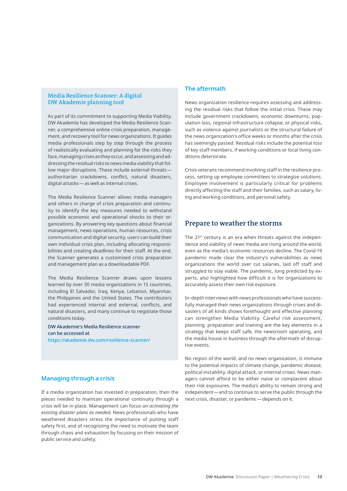#### **Media Resilience Scanner: A digital DW Akademie planning tool**

As part of its commitment to supporting Media Viability, DW Akademie has developed the Media Resilience Scanner, a comprehensive online crisis preparation, management, and recovery tool for news organizations. It guides media professionals step by step through the process of realistically evaluating and planning for the risks they face, managing crises as they occur, and assessing and addressing the residual risks to news media viability that follow major disruptions. These include external threats authoritarian crackdowns, conflict, natural disasters, digital attacks—as well as internal crises.

The Media Resilience Scanner allows media managers and others in charge of crisis preparation and continuity to identify the key measures needed to withstand possible economic and operational shocks to their organizations. By answering key questions about financial management, news operations, human resources, crisis communication and digital security, users can build their own individual crisis plan, including allocating responsibilities and creating deadlines for their staff. At the end, the Scanner generates a customized crisis preparation and management plan as a downloadable PDF.

The Media Resilience Scanner draws upon lessons learned by over 30 media organizations in 15 countries, including El Salvador, Iraq, Kenya, Lebanon, Myanmar, the Philippines and the United States. The contributors had experienced internal and external, conflicts, and natural disasters, and many continue to negotiate those conditions today.

DW Akademie's Media Resilience scanner can be accessed at <https://akademie.dw.com/resilience-scanner/>

## **Managing through a crisis**

If a media organization has invested in preparation, then the pieces needed to maintain operational continuity through a crisis will be in place. Management can focus on *activating the existing disaster plans as needed*. News professionals who have weathered disasters stress the importance of putting staff safety first, and of recognizing the need to motivate the team through chaos and exhaustion by focusing on their mission of public service and safety.

## **The aftermath**

News organization resilience requires assessing and addressing the residual risks that follow the initial crisis. These may include government crackdowns, economic downturns, population loss, regional infrastructure collapse, or physical risks, such as violence against journalists or the structural failure of the news organization's office weeks or months after the crisis has seemingly passed. Residual risks include the potential loss of key staff members, if working conditions or local living conditions deteriorate.

Crisis veterans recommend involving staff in the resilience process, setting up employee committees to strategize solutions. Employee involvement is particularly critical for problems directly affecting the staff and their families, such as salary, living and working conditions, and personal safety.

## **Prepare to weather the storms**

The 21<sup>st</sup> century is an era when threats against the independence and viability of news media are rising around the world, even as the media's economic resources decline. The Covid-19 pandemic made clear the industry's vulnerabilities as news organizations the world over cut salaries, laid off staff and struggled to stay viable. The pandemic, long predicted by experts, also highlighted how difficult it is for organizations to accurately assess their own risk exposure.

In-depth interviews with news professionals who have successfully managed their news organizations through crises and disasters of all kinds shows forethought and effective planning can strengthen Media Viability. Careful risk assessment, planning, preparation and training are the key elements in a strategy that keeps staff safe, the newsroom operating, and the media house in business through the aftermath of disruptive events.

No region of the world, and no news organization, is immune to the potential impacts of climate change, pandemic disease, political instability, digital attack, or internal crises. News managers cannot afford to be either naïve or complacent about their risk exposures. The media's ability to remain strong and independent―and to continue to serve the public through the next crisis, disaster, or pandemic―depends on it.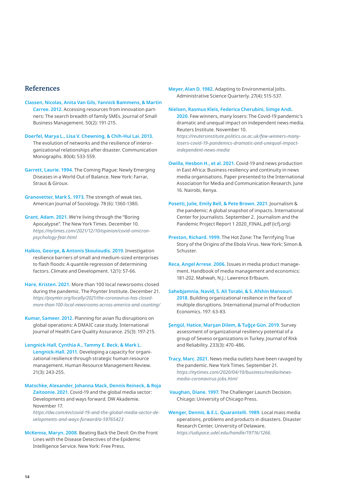## **References**

**Classen, Nicolas, Anita Van Gils, Yannick Bammens, & Martin Carree. 2012.** Accessing resources from innovation partners: The search breadth of family SMEs. Journal of Small Business Management. 50(2): 191-215.

**Doerfel, Marya L., Lisa V. Chewning, & Chih-Hui Lai. 2013.**  The evolution of networks and the resilience of interorganizational relationships after disaster. Communication Monographs. 80(4): 533-559.

**Garrett, Laurie. 1994.** The Coming Plague: Newly Emerging Diseases in a World Out of Balance. New York: Farrar, Straus & Giroux.

**Granovetter, Mark S. 1973.** The strength of weak ties. American Journal of Sociology. 78 (6): 1360-1380.

**Grant, Adam. 2021.** We're living through the "Boring Apocalypse". The New York Times. December 10. *https://nytimes.com/2021/12/10/opinion/covid-omicronpsychology-fear.html* 

**Halkos, George, & Antonis Skouloudis. 2019.** Investigation resilience barriers of small and medium-sized enterprises to flash floods: A quantile regression of determining factors. Climate and Development. 12(1): 57-66.

**Hare, Kristen. 2021.** More than 100 local newsrooms closed during the pandemic. The Poynter Institute. December 21. *https://poynter.org/locally/2021/the-coronavirus-has-closedmore-than-100-local-newsrooms-across-america-and-counting/*

**Kumar, Sameer. 2012.** Planning for avian flu disruptions on global operations: A DMAIC case study. International Journal of Health Care Quality Assurance. 25(3): 197-215.

#### **Lengnick-Hall, Cynthia A., Tammy E. Beck, & Mark L. Lengnick-Hall. 2011.** Developing a capacity for organi-

zational resilience through strategic human resource management. Human Resource Management Review. 21(3): 243-255.

**Matschke, Alexander, Johanna Mack, Dennis Reineck, & Roja Zaitoonie. 2021.** Covid-19 and the global media sector: Developments and ways forward. DW Akademie. November 17. *https://dw.com/en/covid-19-and-the-global-media-sector-developments-and-ways-forward/a-59765423*

**McKenna, Maryn. 2008.** Beating Back the Devil: On the Front Lines with the Disease Detectives of the Epidemic

Intelligence Service. New York: Free Press.

**Meyer, Alan D. 1982.** Adapting to Environmental Jolts. Administrative Science Quarterly. 27(4): 515-537.

#### **Nielsen, Rasmus Kleis, Federica Cherubini, Simge Andi.**

**2020.** Few winners, many losers: The Covid-19 pandemic's dramatic and unequal impact on independent news media. Reuters Institute. November 10.

*https://reutersinstitute.politics.ox.ac.uk/few-winners-manylosers-covid-19-pandemics-dramatic-and-unequal-impactindependent-news-media*

- **Owilla, Hesbon H., et al. 2021.** Covid-19 and news production in East Africa: Business resiliency and continuity in news media organisations. Paper presented to the International Association for Media and Communication Research. June 16. Nairobi, Kenya.
- **Posetti, Julie, Emily Bell, & Pete Brown. 2021.** Journalism & the pandemic: A global snapshot of impacts. International Center for Journalists. September 2. Journalism and the Pandemic Project Report 1 2020\_FINAL.pdf (icfj.org)
- **Preston, Richard. 1999.** The Hot Zone: The Terrifying True Story of the Origins of the Ebola Virus. New York: Simon & Schuster.
- **Reca, Angel Arrese. 2006.** Issues in media product management. Handbook of media management and economics: 181-202. Mahwah, N.J.: Lawrence Erlbaum[.](https://www.friedenspreis-des-deutschen-buchhandels.de/en/news-topics/detailpage/amartya-sen-awarded-the-2020-peace-prize-of-the-german-book-trade)

**Sahebjamnia, Navid, S. Ali Torabi, & S. Afshin Mansouri. 2018.** Building organizational resilience in the face of multiple disruptions. International Journal of Production Economics. 197: 63-83.

**Şengül, Hatice, Marşan Dilem, & Tuğçe Gün. 2019.** Survey assessment of organizational resiliency potential of a group of Seveso organizations in Turkey. Journal of Risk and Reliability. 233(3): 470-486.

**Tracy, Marc. 2021.** News media outlets have been ravaged by the pandemic. New York Times. September 21. *https://nytimes.com/2020/04/10/business/media/newsmedia-coronavirus-jobs.html*

 **Vaughan, Diane. 1997.** The Challenger Launch Decision. Chicago: University of Chicago Press[.](https://rsf.org/en/news/rsf-addresses-human-rights-council-pandemic-linked-press-freedom-violations)

**Wenger, Dennis, & E.L. Quarantelli. 1989.** Local mass media operations, problems and products in disasters. Disaster Research Center, University of Delaware. *https://udspace.udel.edu/handle/19716/1266.*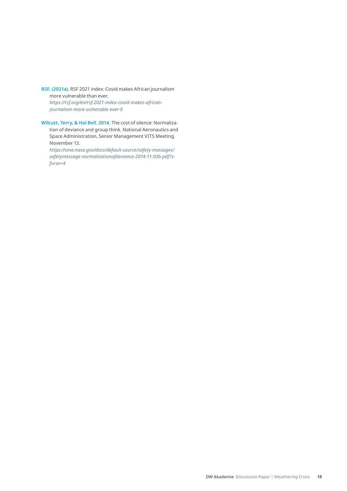**RSF. (2021a).** RSF 2021 index: Covid makes African journalism more vulnerable than ever.

*[https://rsf.org/en/rsf-2021-index-covid-makes-african](https://rsf.org/en/rsf-2021-index-covid-makes-african-journalism-more-vulnerable-ever-0)[journalism-more-vulnerable-ever-0](https://rsf.org/en/rsf-2021-index-covid-makes-african-journalism-more-vulnerable-ever-0)*

**Wilcutt, Terry, & Hal Bell. 2014.** The cost of silence: Normalization of deviance and group think. National Aeronautics and Space Administration, Senior Management VITS Meeting. November 13.

*https://sma.nasa.gov/docs/default-source/safety-messages/ safetymessage-normalizationofdeviance-2014-11-03b.pdf?sfvrsn=4*